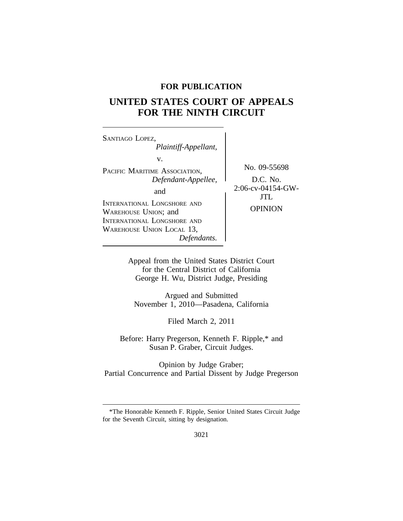# **FOR PUBLICATION**

# **UNITED STATES COURT OF APPEALS FOR THE NINTH CIRCUIT**

<sup>S</sup>ANTIAGO LOPEZ, *Plaintiff-Appellant,* v. PACIFIC MARITIME ASSOCIATION, No. 09-55698 *Defendant-Appellee,*<br>and  $2:06$ -cv-04154-GW-INTERNATIONAL LONGSHORE AND WAREHOUSE UNION; and OPINION INTERNATIONAL LONGSHORE AND WAREHOUSE UNION LOCAL 13, *Defendants.*

JTL

Appeal from the United States District Court for the Central District of California George H. Wu, District Judge, Presiding

Argued and Submitted November 1, 2010—Pasadena, California

Filed March 2, 2011

Before: Harry Pregerson, Kenneth F. Ripple,\* and Susan P. Graber, Circuit Judges.

Opinion by Judge Graber; Partial Concurrence and Partial Dissent by Judge Pregerson

<sup>\*</sup>The Honorable Kenneth F. Ripple, Senior United States Circuit Judge for the Seventh Circuit, sitting by designation.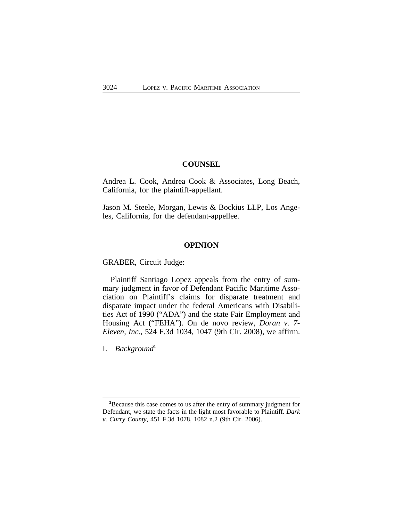## **COUNSEL**

Andrea L. Cook, Andrea Cook & Associates, Long Beach, California, for the plaintiff-appellant.

Jason M. Steele, Morgan, Lewis & Bockius LLP, Los Angeles, California, for the defendant-appellee.

#### **OPINION**

GRABER, Circuit Judge:

Plaintiff Santiago Lopez appeals from the entry of summary judgment in favor of Defendant Pacific Maritime Association on Plaintiff's claims for disparate treatment and disparate impact under the federal Americans with Disabilities Act of 1990 ("ADA") and the state Fair Employment and Housing Act ("FEHA"). On de novo review, *Doran v. 7- Eleven, Inc.*, 524 F.3d 1034, 1047 (9th Cir. 2008), we affirm.

I. *Background***<sup>1</sup>**

**<sup>1</sup>**Because this case comes to us after the entry of summary judgment for Defendant, we state the facts in the light most favorable to Plaintiff. *Dark v. Curry County*, 451 F.3d 1078, 1082 n.2 (9th Cir. 2006).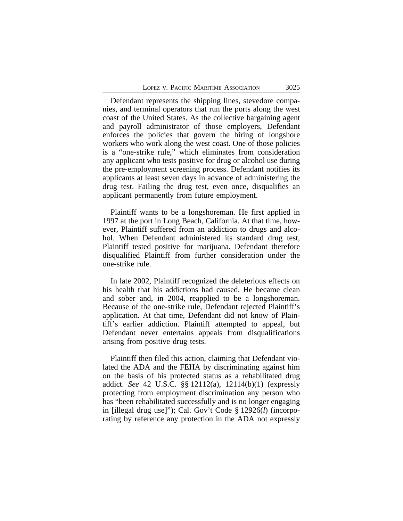Defendant represents the shipping lines, stevedore companies, and terminal operators that run the ports along the west coast of the United States. As the collective bargaining agent and payroll administrator of those employers, Defendant enforces the policies that govern the hiring of longshore workers who work along the west coast. One of those policies is a "one-strike rule," which eliminates from consideration any applicant who tests positive for drug or alcohol use during the pre-employment screening process. Defendant notifies its applicants at least seven days in advance of administering the drug test. Failing the drug test, even once, disqualifies an applicant permanently from future employment.

Plaintiff wants to be a longshoreman. He first applied in 1997 at the port in Long Beach, California. At that time, however, Plaintiff suffered from an addiction to drugs and alcohol. When Defendant administered its standard drug test, Plaintiff tested positive for marijuana. Defendant therefore disqualified Plaintiff from further consideration under the one-strike rule.

In late 2002, Plaintiff recognized the deleterious effects on his health that his addictions had caused. He became clean and sober and, in 2004, reapplied to be a longshoreman. Because of the one-strike rule, Defendant rejected Plaintiff's application. At that time, Defendant did not know of Plaintiff's earlier addiction. Plaintiff attempted to appeal, but Defendant never entertains appeals from disqualifications arising from positive drug tests.

Plaintiff then filed this action, claiming that Defendant violated the ADA and the FEHA by discriminating against him on the basis of his protected status as a rehabilitated drug addict. *See* 42 U.S.C. §§ 12112(a), 12114(b)(1) (expressly protecting from employment discrimination any person who has "been rehabilitated successfully and is no longer engaging in [illegal drug use]"); Cal. Gov't Code § 12926(*l*) (incorporating by reference any protection in the ADA not expressly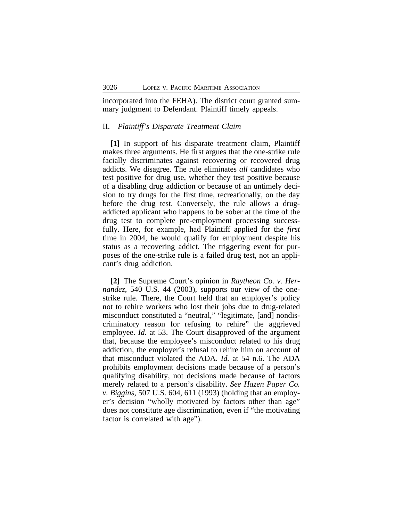incorporated into the FEHA). The district court granted summary judgment to Defendant. Plaintiff timely appeals.

#### II. *Plaintiff's Disparate Treatment Claim*

**[1]** In support of his disparate treatment claim, Plaintiff makes three arguments. He first argues that the one-strike rule facially discriminates against recovering or recovered drug addicts. We disagree. The rule eliminates *all* candidates who test positive for drug use, whether they test positive because of a disabling drug addiction or because of an untimely decision to try drugs for the first time, recreationally, on the day before the drug test. Conversely, the rule allows a drugaddicted applicant who happens to be sober at the time of the drug test to complete pre-employment processing successfully. Here, for example, had Plaintiff applied for the *first* time in 2004, he would qualify for employment despite his status as a recovering addict. The triggering event for purposes of the one-strike rule is a failed drug test, not an applicant's drug addiction.

**[2]** The Supreme Court's opinion in *Raytheon Co. v. Hernandez*, 540 U.S. 44 (2003), supports our view of the onestrike rule. There, the Court held that an employer's policy not to rehire workers who lost their jobs due to drug-related misconduct constituted a "neutral," "legitimate, [and] nondiscriminatory reason for refusing to rehire" the aggrieved employee. *Id.* at 53. The Court disapproved of the argument that, because the employee's misconduct related to his drug addiction, the employer's refusal to rehire him on account of that misconduct violated the ADA. *Id.* at 54 n.6. The ADA prohibits employment decisions made because of a person's qualifying disability, not decisions made because of factors merely related to a person's disability. *See Hazen Paper Co. v. Biggins*, 507 U.S. 604, 611 (1993) (holding that an employer's decision "wholly motivated by factors other than age" does not constitute age discrimination, even if "the motivating factor is correlated with age").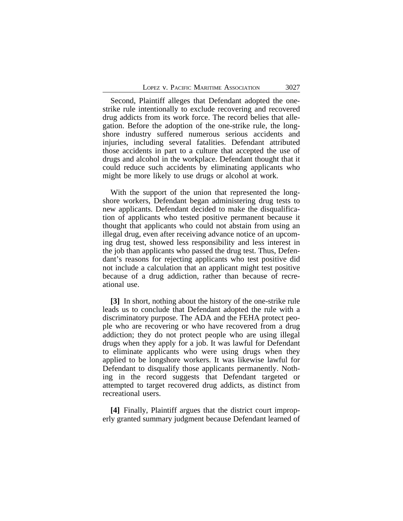Second, Plaintiff alleges that Defendant adopted the onestrike rule intentionally to exclude recovering and recovered drug addicts from its work force. The record belies that allegation. Before the adoption of the one-strike rule, the longshore industry suffered numerous serious accidents and injuries, including several fatalities. Defendant attributed those accidents in part to a culture that accepted the use of drugs and alcohol in the workplace. Defendant thought that it could reduce such accidents by eliminating applicants who might be more likely to use drugs or alcohol at work.

With the support of the union that represented the longshore workers, Defendant began administering drug tests to new applicants. Defendant decided to make the disqualification of applicants who tested positive permanent because it thought that applicants who could not abstain from using an illegal drug, even after receiving advance notice of an upcoming drug test, showed less responsibility and less interest in the job than applicants who passed the drug test. Thus, Defendant's reasons for rejecting applicants who test positive did not include a calculation that an applicant might test positive because of a drug addiction, rather than because of recreational use.

**[3]** In short, nothing about the history of the one-strike rule leads us to conclude that Defendant adopted the rule with a discriminatory purpose. The ADA and the FEHA protect people who are recovering or who have recovered from a drug addiction; they do not protect people who are using illegal drugs when they apply for a job. It was lawful for Defendant to eliminate applicants who were using drugs when they applied to be longshore workers. It was likewise lawful for Defendant to disqualify those applicants permanently. Nothing in the record suggests that Defendant targeted or attempted to target recovered drug addicts, as distinct from recreational users.

**[4]** Finally, Plaintiff argues that the district court improperly granted summary judgment because Defendant learned of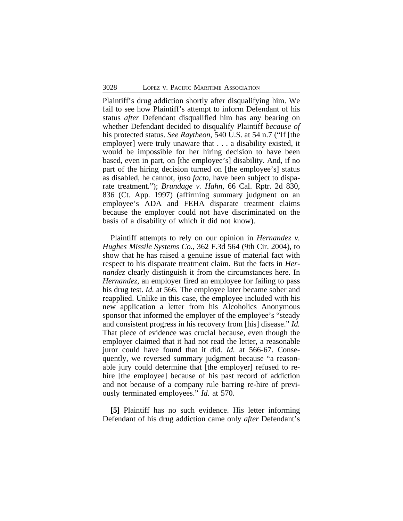Plaintiff's drug addiction shortly after disqualifying him. We fail to see how Plaintiff's attempt to inform Defendant of his status *after* Defendant disqualified him has any bearing on whether Defendant decided to disqualify Plaintiff *because of* his protected status. *See Raytheon*, 540 U.S. at 54 n.7 ("If [the employer] were truly unaware that . . . a disability existed, it would be impossible for her hiring decision to have been based, even in part, on [the employee's] disability. And, if no part of the hiring decision turned on [the employee's] status as disabled, he cannot, *ipso facto*, have been subject to disparate treatment."); *Brundage v. Hahn*, 66 Cal. Rptr. 2d 830, 836 (Ct. App. 1997) (affirming summary judgment on an employee's ADA and FEHA disparate treatment claims because the employer could not have discriminated on the basis of a disability of which it did not know).

Plaintiff attempts to rely on our opinion in *Hernandez v. Hughes Missile Systems Co.*, 362 F.3d 564 (9th Cir. 2004), to show that he has raised a genuine issue of material fact with respect to his disparate treatment claim. But the facts in *Hernandez* clearly distinguish it from the circumstances here. In *Hernandez*, an employer fired an employee for failing to pass his drug test. *Id.* at 566. The employee later became sober and reapplied. Unlike in this case, the employee included with his new application a letter from his Alcoholics Anonymous sponsor that informed the employer of the employee's "steady and consistent progress in his recovery from [his] disease." *Id.* That piece of evidence was crucial because, even though the employer claimed that it had not read the letter, a reasonable juror could have found that it did. *Id.* at 566-67. Consequently, we reversed summary judgment because "a reasonable jury could determine that [the employer] refused to rehire [the employee] because of his past record of addiction and not because of a company rule barring re-hire of previously terminated employees." *Id.* at 570.

**[5]** Plaintiff has no such evidence. His letter informing Defendant of his drug addiction came only *after* Defendant's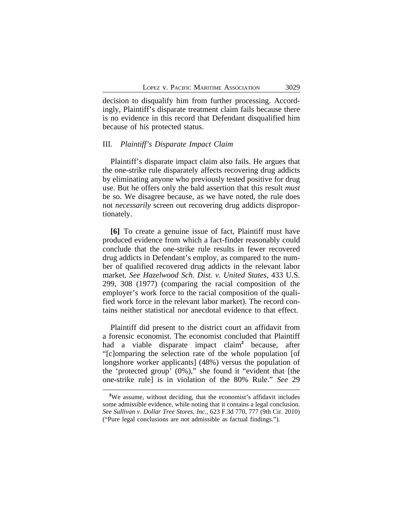decision to disqualify him from further processing. Accordingly, Plaintiff's disparate treatment claim fails because there is no evidence in this record that Defendant disqualified him because of his protected status.

#### III. *Plaintiff's Disparate Impact Claim*

Plaintiff's disparate impact claim also fails. He argues that the one-strike rule disparately affects recovering drug addicts by eliminating anyone who previously tested positive for drug use. But he offers only the bald assertion that this result *must* be so. We disagree because, as we have noted, the rule does not *necessarily* screen out recovering drug addicts disproportionately.

**[6]** To create a genuine issue of fact, Plaintiff must have produced evidence from which a fact-finder reasonably could conclude that the one-strike rule results in fewer recovered drug addicts in Defendant's employ, as compared to the number of qualified recovered drug addicts in the relevant labor market. *See Hazelwood Sch. Dist. v. United States*, 433 U.S. 299, 308 (1977) (comparing the racial composition of the employer's work force to the racial composition of the qualified work force in the relevant labor market). The record contains neither statistical nor anecdotal evidence to that effect.

Plaintiff did present to the district court an affidavit from a forensic economist. The economist concluded that Plaintiff had a viable disparate impact claim**<sup>2</sup>** because, after "[c]omparing the selection rate of the whole population [of longshore worker applicants] (48%) versus the population of the 'protected group' (0%)," she found it "evident that [the one-strike rule] is in violation of the 80% Rule." *See* 29

<sup>&</sup>lt;sup>2</sup>We assume, without deciding, that the economist's affidavit includes some admissible evidence, while noting that it contains a legal conclusion. *See Sullivan v. Dollar Tree Stores, Inc.*, 623 F.3d 770, 777 (9th Cir. 2010) ("Pure legal conclusions are not admissible as factual findings.").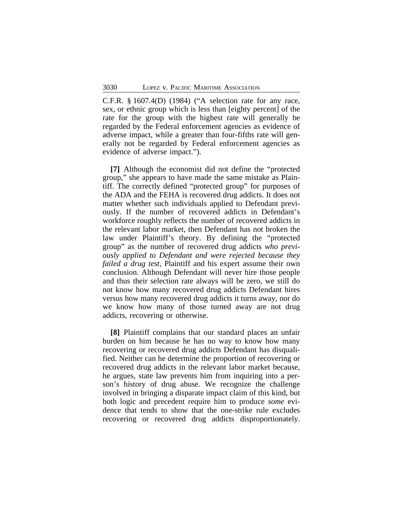C.F.R. § 1607.4(D) (1984) ("A selection rate for any race, sex, or ethnic group which is less than [eighty percent] of the rate for the group with the highest rate will generally be regarded by the Federal enforcement agencies as evidence of adverse impact, while a greater than four-fifths rate will generally not be regarded by Federal enforcement agencies as evidence of adverse impact.").

**[7]** Although the economist did not define the "protected group," she appears to have made the same mistake as Plaintiff. The correctly defined "protected group" for purposes of the ADA and the FEHA is recovered drug addicts. It does not matter whether such individuals applied to Defendant previously. If the number of recovered addicts in Defendant's workforce roughly reflects the number of recovered addicts in the relevant labor market, then Defendant has not broken the law under Plaintiff's theory. By defining the "protected group" as the number of recovered drug addicts *who previously applied to Defendant and were rejected because they failed a drug test*, Plaintiff and his expert assume their own conclusion. Although Defendant will never hire those people and thus their selection rate always will be zero, we still do not know how many recovered drug addicts Defendant hires versus how many recovered drug addicts it turns away, nor do we know how many of those turned away are not drug addicts, recovering or otherwise.

**[8]** Plaintiff complains that our standard places an unfair burden on him because he has no way to know how many recovering or recovered drug addicts Defendant has disqualified. Neither can he determine the proportion of recovering or recovered drug addicts in the relevant labor market because, he argues, state law prevents him from inquiring into a person's history of drug abuse. We recognize the challenge involved in bringing a disparate impact claim of this kind, but both logic and precedent require him to produce *some* evidence that tends to show that the one-strike rule excludes recovering or recovered drug addicts disproportionately.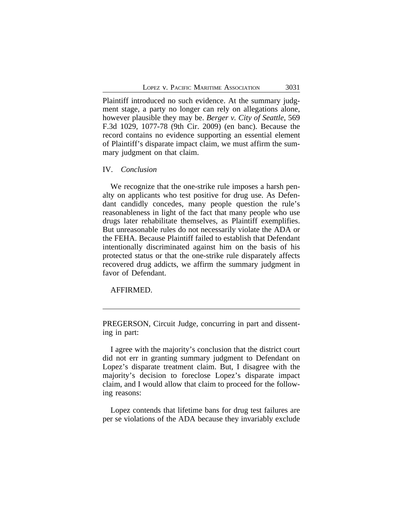Plaintiff introduced no such evidence. At the summary judgment stage, a party no longer can rely on allegations alone, however plausible they may be. *Berger v. City of Seattle*, 569 F.3d 1029, 1077-78 (9th Cir. 2009) (en banc). Because the record contains no evidence supporting an essential element of Plaintiff's disparate impact claim, we must affirm the summary judgment on that claim.

### IV. *Conclusion*

We recognize that the one-strike rule imposes a harsh penalty on applicants who test positive for drug use. As Defendant candidly concedes, many people question the rule's reasonableness in light of the fact that many people who use drugs later rehabilitate themselves, as Plaintiff exemplifies. But unreasonable rules do not necessarily violate the ADA or the FEHA. Because Plaintiff failed to establish that Defendant intentionally discriminated against him on the basis of his protected status or that the one-strike rule disparately affects recovered drug addicts, we affirm the summary judgment in favor of Defendant.

## AFFIRMED.

PREGERSON, Circuit Judge, concurring in part and dissenting in part:

I agree with the majority's conclusion that the district court did not err in granting summary judgment to Defendant on Lopez's disparate treatment claim. But, I disagree with the majority's decision to foreclose Lopez's disparate impact claim, and I would allow that claim to proceed for the following reasons:

Lopez contends that lifetime bans for drug test failures are per se violations of the ADA because they invariably exclude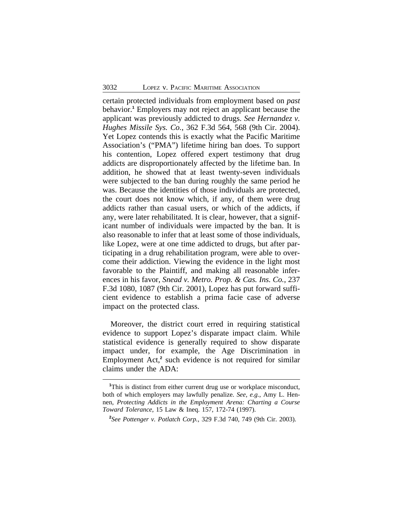certain protected individuals from employment based on *past* behavior.**<sup>1</sup>** Employers may not reject an applicant because the applicant was previously addicted to drugs. *See Hernandez v. Hughes Missile Sys. Co.*, 362 F.3d 564, 568 (9th Cir. 2004). Yet Lopez contends this is exactly what the Pacific Maritime Association's ("PMA") lifetime hiring ban does. To support his contention, Lopez offered expert testimony that drug addicts are disproportionately affected by the lifetime ban. In addition, he showed that at least twenty-seven individuals were subjected to the ban during roughly the same period he was. Because the identities of those individuals are protected, the court does not know which, if any, of them were drug addicts rather than casual users, or which of the addicts, if any, were later rehabilitated. It is clear, however, that a significant number of individuals were impacted by the ban. It is also reasonable to infer that at least some of those individuals, like Lopez, were at one time addicted to drugs, but after participating in a drug rehabilitation program, were able to overcome their addiction. Viewing the evidence in the light most favorable to the Plaintiff, and making all reasonable inferences in his favor, *Snead v. Metro. Prop. & Cas. Ins. Co.*, 237 F.3d 1080, 1087 (9th Cir. 2001), Lopez has put forward sufficient evidence to establish a prima facie case of adverse impact on the protected class.

Moreover, the district court erred in requiring statistical evidence to support Lopez's disparate impact claim. While statistical evidence is generally required to show disparate impact under, for example, the Age Discrimination in Employment Act,<sup>2</sup> such evidence is not required for similar claims under the ADA:

<sup>&</sup>lt;sup>1</sup>This is distinct from either current drug use or workplace misconduct, both of which employers may lawfully penalize. *See, e.g.*, Amy L. Hennen, *Protecting Addicts in the Employment Arena: Charting a Course Toward Tolerance*, 15 Law & Ineq. 157, 172-74 (1997).

**<sup>2</sup>** *See Pottenger v. Potlatch Corp.*, 329 F.3d 740, 749 (9th Cir. 2003).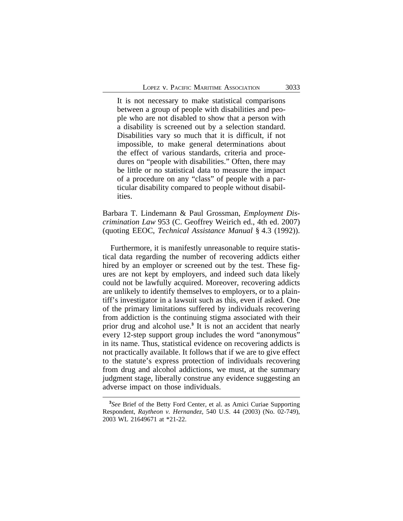It is not necessary to make statistical comparisons between a group of people with disabilities and people who are not disabled to show that a person with a disability is screened out by a selection standard. Disabilities vary so much that it is difficult, if not impossible, to make general determinations about the effect of various standards, criteria and procedures on "people with disabilities." Often, there may be little or no statistical data to measure the impact of a procedure on any "class" of people with a particular disability compared to people without disabilities.

Barbara T. Lindemann & Paul Grossman, *Employment Discrimination Law* 953 (C. Geoffrey Weirich ed., 4th ed. 2007) (quoting EEOC, *Technical Assistance Manual* § 4.3 (1992)).

Furthermore, it is manifestly unreasonable to require statistical data regarding the number of recovering addicts either hired by an employer or screened out by the test. These figures are not kept by employers, and indeed such data likely could not be lawfully acquired. Moreover, recovering addicts are unlikely to identify themselves to employers, or to a plaintiff's investigator in a lawsuit such as this, even if asked. One of the primary limitations suffered by individuals recovering from addiction is the continuing stigma associated with their prior drug and alcohol use.**<sup>3</sup>** It is not an accident that nearly every 12-step support group includes the word "anonymous" in its name. Thus, statistical evidence on recovering addicts is not practically available. It follows that if we are to give effect to the statute's express protection of individuals recovering from drug and alcohol addictions, we must, at the summary judgment stage, liberally construe any evidence suggesting an adverse impact on those individuals.

**<sup>3</sup>** *See* Brief of the Betty Ford Center, et al. as Amici Curiae Supporting Respondent, *Raytheon v. Hernandez*, 540 U.S. 44 (2003) (No. 02-749), 2003 WL 21649671 at \*21-22.